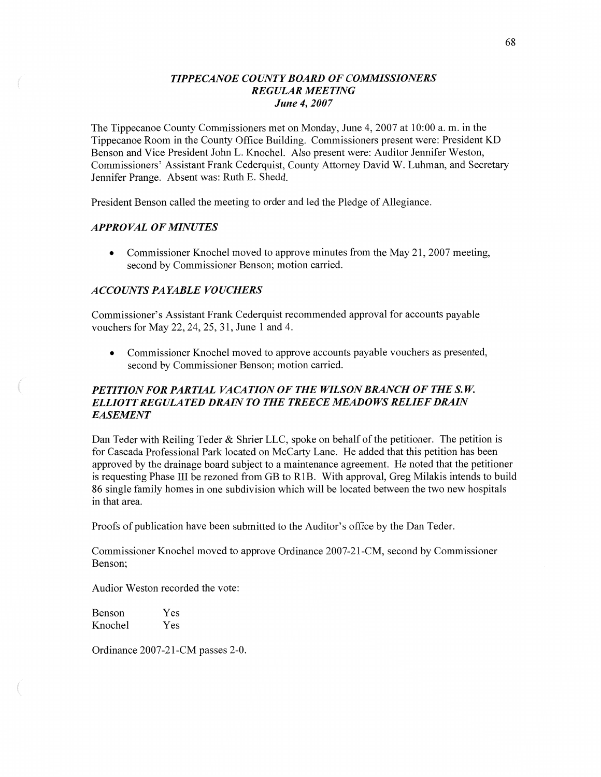## *TIPPE CANOE COUNTY BOARD* OF *COMMISSIONERS REGULAR MEETING June* 4, *2007*

The Tippecanoe County Commissioners met on Monday, June 4, 2007 at **10:00** a. m. in the Tippecanoe Room in the County Office Building. Commissioners present were: President KD Benson and Vice President John L. Knochel. Also present were: Auditor Jennifer Weston, Commissioners' Assistant Frank Cederquist, County Attorney David W. Luhman, and Secretary Jennifer Prange. Absent was: Ruth E. Shedd.

President Benson called the meeting to order and led the Pledge of Allegiance.

### *APPROVAL* OF *MINUTES*

• Commissioner Knochel moved to approve minutes from the May 21, 2007 meeting, second by Commissioner Benson; motion carried.

## *ACCOUNTS* PA *YABLE VOUCHERS*

Commissioner's Assistant Frank Cederquist recommended approval for accounts payable vouchers for May 22, 24, 25, 31, June **1** and 4.

**0** Commissioner Knochel moved to approve accounts payable vouchers as presented, second by Commissioner Benson; motion carried.

# *PETITIONFOR PARTML VACATION* OF THE *WILSONBRANCH* OF THE *S.W. ELLIOT T REGULATED DRAIN T 0* THE *TREECE MEADOWS RELIEF DRAIN EASEMENT*

Dan Teder with Reiling Teder & Shrier LLC, spoke on behalf of the petitioner. The petition is for Cascada Professional Park located on McCarty Lane. He added that this petition has been approved by the drainage board subject to a maintenance agreement. He noted that the petitioner is requesting Phase Ill be rezoned from GB to RIB. With approval, Greg Milakis intends to build 86 single family homes in one subdivision which will be located between the two new hospitals in **that** area.

**Proofs** of publication have been submitted to the Auditor's office by the Dan Teder.

Commissioner Knochel moved to approve Ordinance 2007-21-CM, second by Commissioner Benson;

Audior Weston recorded the vote:

Benson Yes Knochel Yes

Ordinance 2007-21-CM passes **2-0.**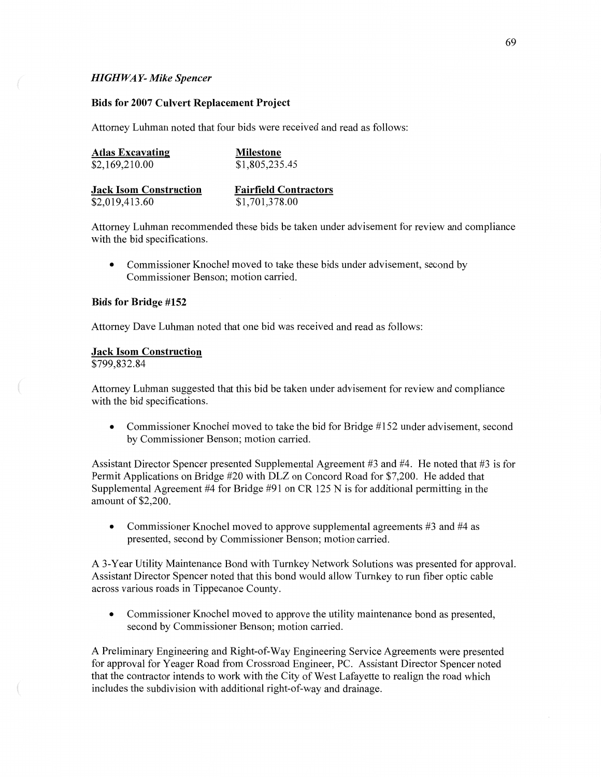### *HIGHWA* Y- *Mike Spencer*

#### **Bids** for **2007 Culvert Replacement Project**

Attorney Luhman noted that four bids were received and read as follows:

| <b>Atlas Excavating</b>       | <b>Milestone</b>             |
|-------------------------------|------------------------------|
| \$2,169,210.00                | \$1,805,235.45               |
|                               |                              |
| <b>Jack Isom Construction</b> | <b>Fairfield Contractors</b> |
| \$2,019,413.60                | \$1,701,378.00               |

Attorney Luhman recommended these bids be taken under advisement for review and compliance with the bid specifications.

**0** Commissioner Knochel moved to **take** these bids under advisement, second by Commissioner Benson; motion carried.

### **Bids** for **Bridge #152**

Attorney Dave Luhman noted that one bid was received and read as follows:

#### **Jack Isom Construction**

\$799,832.84

Attorney Luhman suggested that this bid be taken under advisement for review and compliance with the bid specifications.

**0** Commissioner Knochel moved to take the bid for Bridge #152 under advisement, second by Commissioner Benson; motion carried.

Assistant Director Spencer presented Supplemental Agreement #3 and #4. He noted that #3 is for Permit Applications on Bridge #20 with DLZ on Concord Road for \$7,200. He added that Supplemental Agreement #4 for Bridge #91 on CR 125 N is for additional permitting in the **amount** of **\$2,200.** 

**0** Commissioner Knochel moved to approve supplemental agreements #3 and #4 as presented, second by Commissioner Benson; motion carried.

**A** 3-Year Utility Maintenance Bond with Turnkey Network Solutions was presented for approval. Assistant Director Spencer noted **that** this **bond** would allow Turnkey to run fiber optic cable across various roads in Tippecanoe County.

**0** Commissioner Knochel moved to approve the utility maintenance bond as presented, second by Commissioner Benson; motion carried.

**A** Preliminary Engineering and Right-of—Way Engineering Service Agreements were presented for approval for Yeager Road from Crossroad Engineer, PC. Assistant Director Spencer noted that the contractor intends to work with the City of West Lafayette to realign the road which includes the subdivision with additional right-of-way and drainage.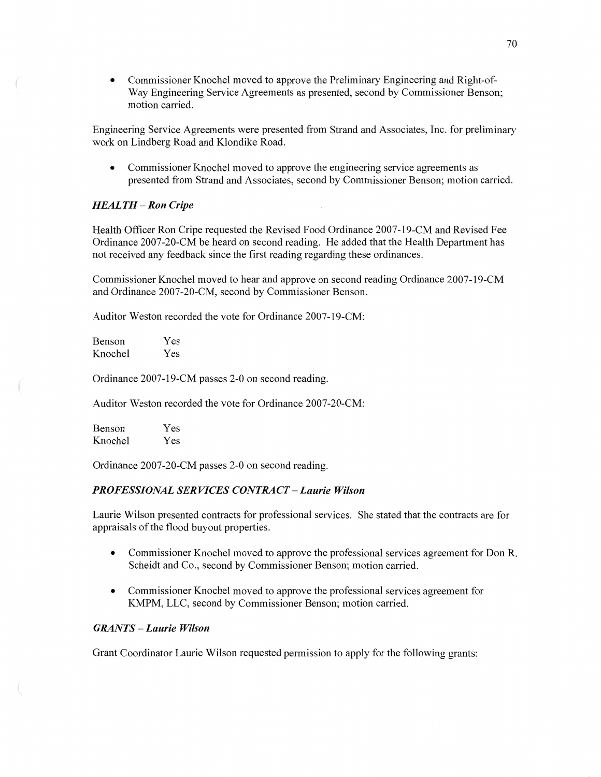**0** Commissioner Knochel moved to approve the Preliminary Engineering and Right-of— Way Engineering Service Agreements as presented, second by Commissioner Benson; motion carried.

Engineering Service Agreements were presented from **Strand** and Associates, Inc. for preliminary work on Lindberg Road and Klondike Road.

**0** Commissioner Knochel moved to approve the engineering service agreements as presented from Strand and Associates, second by Commissioner Benson; motion carried.

## *HEALTH —* Ron *Cripe*

Health Officer Ron Cripe requested the Revised Food Ordinance 2007-19-CM and Revised Fee Ordinance 2007-20-CM be heard on second reading. He added that the Health Department has not received any feedback since the first reading regarding these ordinances.

Commissioner Knochel moved to hear and approve on second reading Ordinance 2007-19-CM and Ordinance 2007-20-CM, second by Commissioner Benson.

Auditor Weston recorded the vote for Ordinance 2007-19-CM:

Benson Yes Knochel Yes

Ordinance 2007-19-CM passes 2-0 on second reading.

**Auditor** Weston recorded the vote for Ordinance 2007-20-CM:

| <b>Benson</b> | Yes |
|---------------|-----|
| Knochel       | Yes |

Ordinance 2007-20-CM passes 2-0 on second reading.

## *PROFESSIONAL SERVICES CONTRA* CT **—** *Laurie Wilson*

Laurie Wilson presented contracts for professional services. She stated that the contracts are for appraisals of the flood buyout properties.

- **0** Commissioner Knochel moved to approve the professional services agreement for Don R. Scheidt and C0,, second by Commissioner Benson; motion carried.
- **0** Commissioner Knochel moved to approve the professional services agreement for KMPM, LLC, second by Commissioner Benson; motion carried.

## *GRANTS* **—** *Laurie Wilson*

Grant Coordinator Laurie Wilson requested permission to apply for the following grants: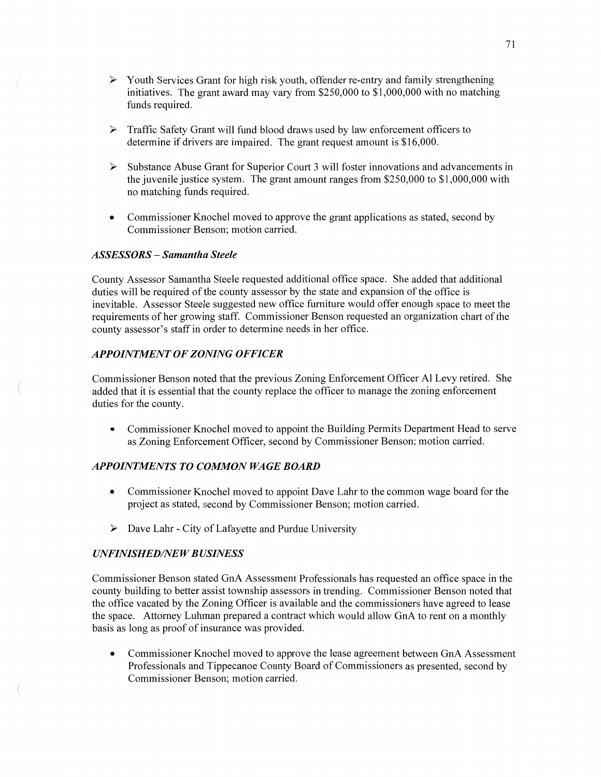- <sup>&</sup>gt;**Youth** Services Grant for high risk youth, offender re-entry and family strengthening initiatives. The grant award may vary from \$250,000 to **\$1,000,000** with no matching funds required.
- **<sup>&</sup>gt;**Traffic Safety Grant will fund blood draws used by law enforcement officers to determine if drivers are impaired. The grant request amount is \$16,000.
- $\triangleright$  Substance Abuse Grant for Superior Court 3 will foster innovations and advancements in the juvenile justice system. The grant amount ranges from \$250,000 to \$1,000,000 with no matching funds required.
- **0** Commissioner Knochel moved to approve the grant applications as stated, second by Commissioner Benson; motion carried.

### *ASSESSORS — Samantha Steele*

 $($ 

County Assessor **Samantha** Steele requested additional office space. She added that additional duties will be required of the county assessor by the state and expansion of the office is inevitable. Assessor Steele suggested new office fumiture would offer enough space to meet the requirements of her growing staff. Commissioner Benson requested an organization chart of the county assessor's staff in order to determine **needs** in her office.

# *APPOINTMENT* OF *ZONING OFFICER*

Commissioner Benson noted that the previous Zoning Enforcement Officer Al Levy retired. She added that it is essential that the county replace the officer to manage the zoning enforcement duties for the county.

**0** Commissioner Knochel **moved** to appoint the Building Permits Department Head to serve as Zoning Enforcement Officer, second by Commissioner Benson; motion carried.

# **APPOINTMENTS TO COMMON WAGE BOARD**

- **0** Commissioner Knochel moved to appoint Dave Lahr to the common wage board for the project as stated, second by Commissioner Benson; motion carried.
- > Dave Lahr City of Lafayette and Purdue University

#### *UNFINISHED/NEW BUSINESS*

Commissioner Benson stated GnA Assessment Professionals has requested an office space in the county building to better assist township assessors in trending. Commissioner Benson noted that the office vacated by the Zoning Officer is available and the commissioners have agreed to lease the space. Attorney Luhman prepared **a** contract which would allow GnA to rent on a monthly basis as long as proof of insurance was provided.

**0** Commissioner Knochel moved to approve the lease agreement between GnA Assessment Professionals and Tippecanoe County Board of Commissioners as presented, second by Commissioner Benson; motion carried.